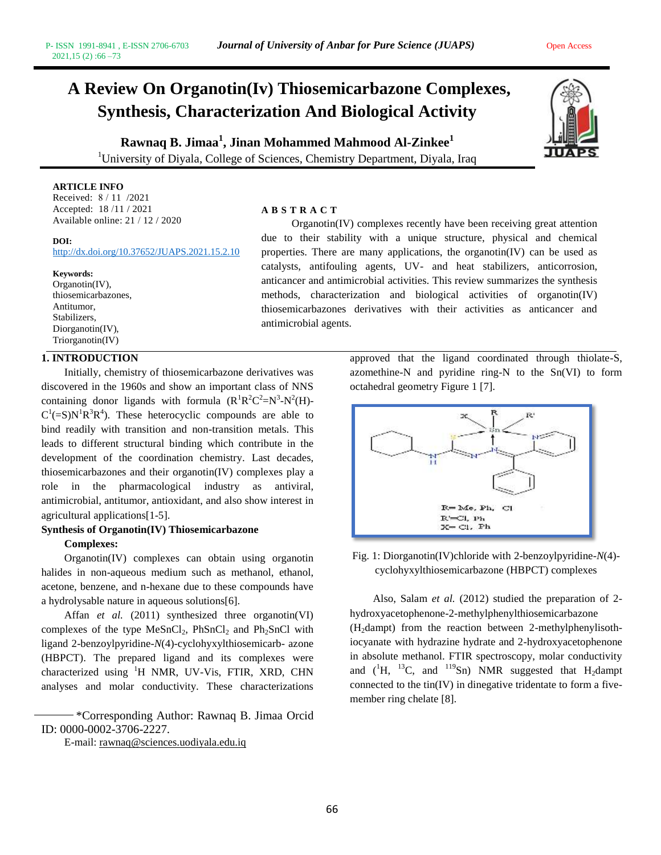# **A Review On Organotin(Iv) Thiosemicarbazone Complexes, Synthesis, Characterization And Biological Activity**

**Rawnaq B. Jimaa<sup>1</sup> , Jinan Mohammed Mahmood Al-Zinkee<sup>1</sup>** <sup>1</sup>University of Diyala, College of Sciences, Chemistry Department, Diyala, Iraq

### **ARTICLE INFO**

Received: 8 / 11 /2021 Accepted: 18 /11 / 2021 Available online: 21 / 12 / 2020

#### **DOI:**

<http://dx.doi.org/10.37652/JUAPS.2021.15.2.10>

#### **Keywords:**

Organotin(IV), thiosemicarbazones, Antitumor, Stabilizers, Diorganotin(IV), Triorganotin(IV)

## **1. INTRODUCTION**

Initially, chemistry of thiosemicarbazone derivatives was discovered in the 1960s and show an important class of NNS containing donor ligands with formula  $(R^1R^2C^2=N^3-N^2(H)$ - $C^1$ (=S)N<sup>1</sup>R<sup>3</sup>R<sup>4</sup>). These heterocyclic compounds are able to bind readily with transition and non-transition metals. This leads to different structural binding which contribute in the development of the coordination chemistry. Last decades, thiosemicarbazones and their organotin(IV) complexes play a role in the pharmacological industry as antiviral, antimicrobial, antitumor, antioxidant, and also show interest in agricultural applications[1-5].

## **Synthesis of Organotin(IV) Thiosemicarbazone Complexes:**

Organotin(IV) complexes can obtain using organotin halides in non-aqueous medium such as methanol, ethanol, acetone, benzene, and n-hexane due to these compounds have a hydrolysable nature in aqueous solutions[6].

Affan *et al.* (2011) synthesized three organotin(VI) complexes of the type  $MeSnCl<sub>2</sub>$ , PhSnCl<sub>2</sub> and Ph<sub>2</sub>SnCl with ligand 2-benzoylpyridine-*N*(4)-cyclohyxylthiosemicarb- azone (HBPCT). The prepared ligand and its complexes were characterized using <sup>1</sup>H NMR, UV-Vis, FTIR, XRD, CHN analyses and molar conductivity. These characterizations

\*Corresponding Author: Rawnaq B. Jimaa Orcid ID: 0000-0002-3706-2227.

E-mail: [rawnaq@sciences.uodiyala.edu.iq](mailto:rawnaq@sciences.uodiyala.edu.iq)

approved that the ligand coordinated through thiolate-S, azomethine-N and pyridine ring-N to the Sn(VI) to form octahedral geometry Figure 1 [7].

Organotin(IV) complexes recently have been receiving great attention due to their stability with a unique structure, physical and chemical properties. There are many applications, the organotin(IV) can be used as catalysts, antifouling agents, UV- and heat stabilizers, anticorrosion, anticancer and antimicrobial activities. This review summarizes the synthesis methods, characterization and biological activities of organotin(IV) thiosemicarbazones derivatives with their activities as anticancer and



Fig. 1: Diorganotin(IV)chloride with 2-benzoylpyridine-*N*(4) cyclohyxylthiosemicarbazone (HBPCT) complexes

Also, Salam *et al.* (2012) studied the preparation of 2 hydroxyacetophenone-2-methylphenylthiosemicarbazone (H2dampt) from the reaction between 2-methylphenylisothiocyanate with hydrazine hydrate and 2-hydroxyacetophenone in absolute methanol. FTIR spectroscopy, molar conductivity and  $(^1H, ^{13}C,$  and  $(^{119}Sn)$  NMR suggested that H<sub>2</sub>dampt connected to the tin(IV) in dinegative tridentate to form a fivemember ring chelate [8].



## **A B S T R A C T**

antimicrobial agents.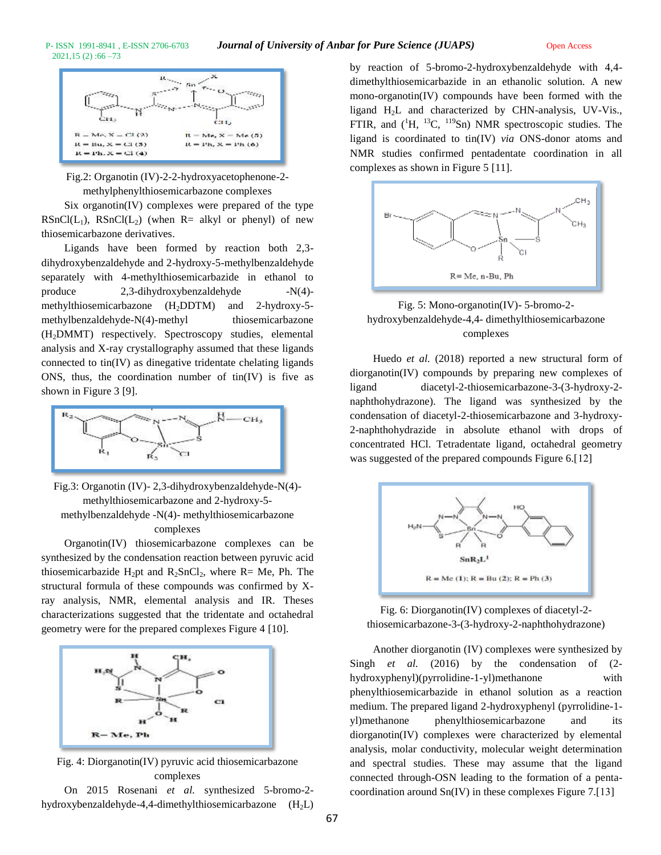



Six organotin(IV) complexes were prepared of the type  $RSnCl(L_1)$ ,  $RSnCl(L_2)$  (when  $R=$  alkyl or phenyl) of new thiosemicarbazone derivatives.

Ligands have been formed by reaction both 2,3 dihydroxybenzaldehyde and 2-hydroxy-5-methylbenzaldehyde separately with 4-methylthiosemicarbazide in ethanol to produce 2,3-dihydroxybenzaldehyde -N(4) methylthiosemicarbazone (H2DDTM) and 2-hydroxy-5 methylbenzaldehyde-N(4)-methyl thiosemicarbazone (H2DMMT) respectively. Spectroscopy studies, elemental analysis and X-ray crystallography assumed that these ligands connected to tin(IV) as dinegative tridentate chelating ligands ONS, thus, the coordination number of  $tin(V)$  is five as shown in Figure 3 [9].



Fig.3: Organotin (IV)- 2,3-dihydroxybenzaldehyde-N(4) methylthiosemicarbazone and 2-hydroxy-5 methylbenzaldehyde -N(4)- methylthiosemicarbazone complexes

Organotin(IV) thiosemicarbazone complexes can be synthesized by the condensation reaction between pyruvic acid thiosemicarbazide H<sub>2</sub>pt and  $R_2SnCl_2$ , where R= Me, Ph. The structural formula of these compounds was confirmed by Xray analysis, NMR, elemental analysis and IR. Theses characterizations suggested that the tridentate and octahedral geometry were for the prepared complexes Figure 4 [10].



Fig. 4: Diorganotin(IV) pyruvic acid thiosemicarbazone complexes

On 2015 Rosenani *et al.* synthesized 5-bromo-2 hydroxybenzaldehyde-4,4-dimethylthiosemicarbazone  $(H<sub>2</sub>L)$  by reaction of 5-bromo-2-hydroxybenzaldehyde with 4,4 dimethylthiosemicarbazide in an ethanolic solution. A new mono-organotin(IV) compounds have been formed with the ligand  $H<sub>2</sub>L$  and characterized by CHN-analysis, UV-Vis., FTIR, and  $(^1H, ^{13}C, ^{119}Sn)$  NMR spectroscopic studies. The ligand is coordinated to tin(IV) *via* ONS-donor atoms and NMR studies confirmed pentadentate coordination in all complexes as shown in Figure 5 [11].



Fig. 5: Mono-organotin(IV)- 5-bromo-2 hydroxybenzaldehyde-4,4- dimethylthiosemicarbazone complexes

Huedo *et al.* (2018) reported a new structural form of diorganotin(IV) compounds by preparing new complexes of ligand diacetyl-2-thiosemicarbazone-3-(3-hydroxy-2 naphthohydrazone). The ligand was synthesized by the condensation of diacetyl-2-thiosemicarbazone and 3-hydroxy-2-naphthohydrazide in absolute ethanol with drops of concentrated HCl. Tetradentate ligand, octahedral geometry was suggested of the prepared compounds Figure 6.[12]



Fig. 6: Diorganotin(IV) complexes of diacetyl-2 thiosemicarbazone-3-(3-hydroxy-2-naphthohydrazone)

Another diorganotin (IV) complexes were synthesized by Singh *et al.* (2016) by the condensation of (2hydroxyphenyl)(pyrrolidine-1-yl)methanone with phenylthiosemicarbazide in ethanol solution as a reaction medium. The prepared ligand 2-hydroxyphenyl (pyrrolidine-1 yl)methanone phenylthiosemicarbazone and its diorganotin(IV) complexes were characterized by elemental analysis, molar conductivity, molecular weight determination and spectral studies. These may assume that the ligand connected through-OSN leading to the formation of a pentacoordination around  $Sn(IV)$  in these complexes Figure 7.[13]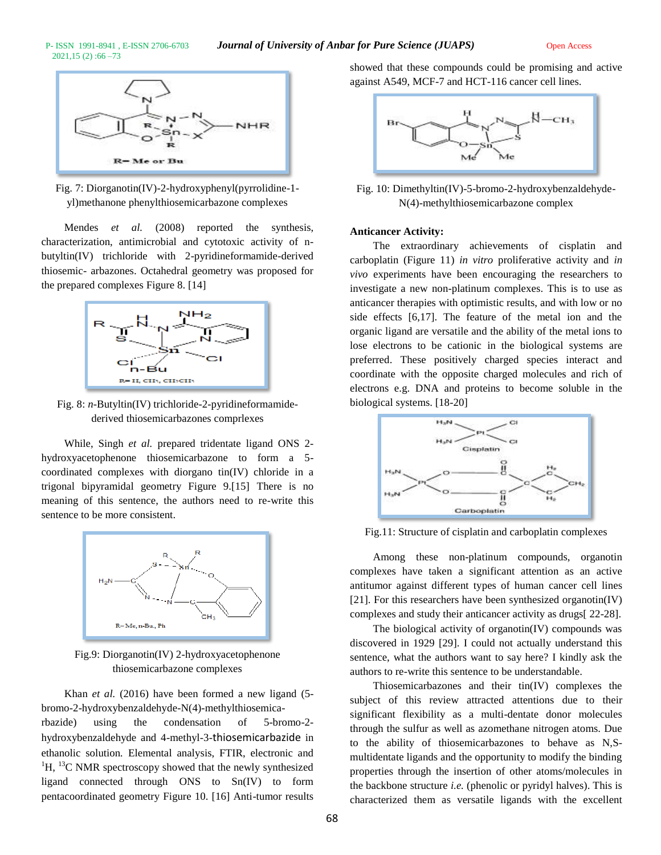



Mendes *et al.* (2008) reported the synthesis, characterization, antimicrobial and cytotoxic activity of nbutyltin(IV) trichloride with 2-pyridineformamide-derived thiosemic- arbazones. Octahedral geometry was proposed for the prepared complexes Figure 8. [14]



Fig. 8: *n*-Butyltin(IV) trichloride-2-pyridineformamidederived thiosemicarbazones comprlexes

While, Singh *et al.* prepared tridentate ligand ONS 2 hydroxyacetophenone thiosemicarbazone to form a 5 coordinated complexes with diorgano tin(IV) chloride in a trigonal bipyramidal geometry Figure 9.[15] There is no meaning of this sentence, the authors need to re-write this sentence to be more consistent.



Fig.9: Diorganotin(IV) 2-hydroxyacetophenone thiosemicarbazone complexes

Khan *et al.* (2016) have been formed a new ligand (5bromo-2-hydroxybenzaldehyde-N(4)-methylthiosemicarbazide) using the condensation of 5-bromo-2 hydroxybenzaldehyde and 4-methyl-3-thiosemicarbazide in ethanolic solution*.* Elemental analysis, FTIR, electronic and  ${}^{1}$ H,  ${}^{13}$ C NMR spectroscopy showed that the newly synthesized ligand connected through ONS to Sn(IV) to form pentacoordinated geometry Figure 10. [16] Anti-tumor results

showed that these compounds could be promising and active against A549, MCF-7 and HCT-116 cancer cell lines.



Fig. 10: Dimethyltin(IV)-5-bromo-2-hydroxybenzaldehyde-N(4)-methylthiosemicarbazone complex

#### **Anticancer Activity:**

The extraordinary achievements of cisplatin and carboplatin (Figure 11) *in vitro* proliferative activity and *in vivo* experiments have been encouraging the researchers to investigate a new non-platinum complexes. This is to use as anticancer therapies with optimistic results, and with low or no side effects [6,17]. The feature of the metal ion and the organic ligand are versatile and the ability of the metal ions to lose electrons to be cationic in the biological systems are preferred. These positively charged species interact and coordinate with the opposite charged molecules and rich of electrons e.g. DNA and proteins to become soluble in the biological systems. [18-20]



Fig.11: Structure of cisplatin and carboplatin complexes

Among these non-platinum compounds, organotin complexes have taken a significant attention as an active antitumor against different types of human cancer cell lines [21]. For this researchers have been synthesized organotin(IV) complexes and study their anticancer activity as drugs[ 22-28].

The biological activity of organotin(IV) compounds was discovered in 1929 [29]. I could not actually understand this sentence, what the authors want to say here? I kindly ask the authors to re-write this sentence to be understandable.

Thiosemicarbazones and their tin(IV) complexes the subject of this review attracted attentions due to their significant flexibility as a multi-dentate donor molecules through the sulfur as well as azomethane nitrogen atoms. Due to the ability of thiosemicarbazones to behave as N,Smultidentate ligands and the opportunity to modify the binding properties through the insertion of other atoms/molecules in the backbone structure *i.e.* (phenolic or pyridyl halves). This is characterized them as versatile ligands with the excellent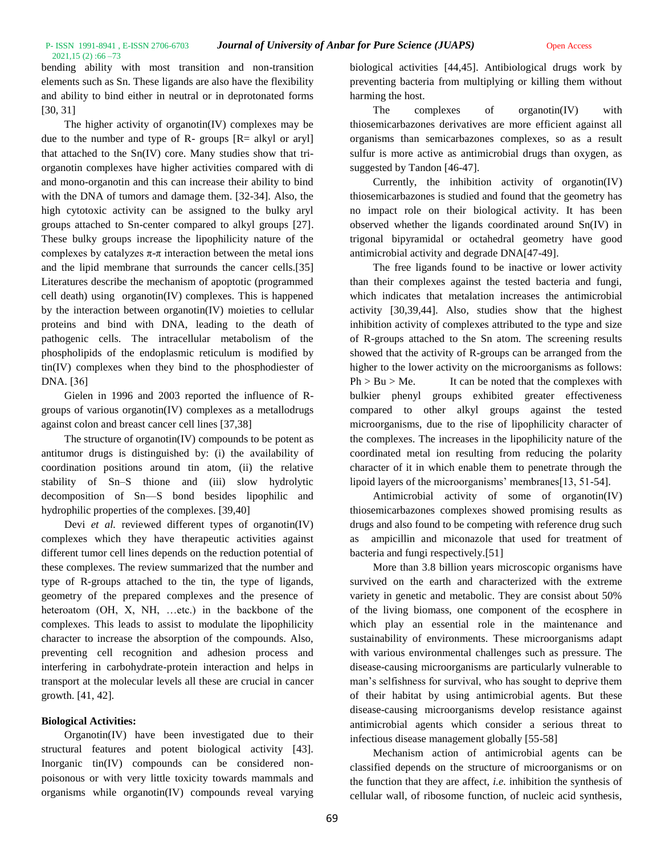2021,15 (2) :66 –73

bending ability with most transition and non-transition elements such as Sn. These ligands are also have the flexibility and ability to bind either in neutral or in deprotonated forms [30, 31]

The higher activity of organotin(IV) complexes may be due to the number and type of  $R$ - groups  $[R = alkyl]$  or aryl that attached to the Sn(IV) core. Many studies show that triorganotin complexes have higher activities compared with di and mono-organotin and this can increase their ability to bind with the DNA of tumors and damage them. [32-34]. Also, the high cytotoxic activity can be assigned to the bulky aryl groups attached to Sn-center compared to alkyl groups [27]. These bulky groups increase the lipophilicity nature of the complexes by catalyzes  $\pi$ - $\pi$  interaction between the metal ions and the lipid membrane that surrounds the cancer cells.[35] Literatures describe the mechanism of apoptotic (programmed cell death) using organotin(IV) complexes. This is happened by the interaction between organotin(IV) moieties to cellular proteins and bind with DNA, leading to the death of pathogenic cells. The intracellular metabolism of the phospholipids of the endoplasmic reticulum is modified by tin(IV) complexes when they bind to the phosphodiester of DNA. [36]

Gielen in 1996 and 2003 reported the influence of Rgroups of various organotin(IV) complexes as a metallodrugs against colon and breast cancer cell lines [37,38]

The structure of organotin(IV) compounds to be potent as antitumor drugs is distinguished by: (i) the availability of coordination positions around tin atom, (ii) the relative stability of Sn–S thione and (iii) slow hydrolytic decomposition of Sn—S bond besides lipophilic and hydrophilic properties of the complexes. [39,40]

Devi *et al.* reviewed different types of organotin(IV) complexes which they have therapeutic activities against different tumor cell lines depends on the reduction potential of these complexes. The review summarized that the number and type of R-groups attached to the tin, the type of ligands, geometry of the prepared complexes and the presence of heteroatom (OH, X, NH, …etc.) in the backbone of the complexes. This leads to assist to modulate the lipophilicity character to increase the absorption of the compounds. Also, preventing cell recognition and adhesion process and interfering in carbohydrate-protein interaction and helps in transport at the molecular levels all these are crucial in cancer growth. [41, 42].

#### **Biological Activities:**

Organotin(IV) have been investigated due to their structural features and potent biological activity [43]. Inorganic tin(IV) compounds can be considered nonpoisonous or with very little toxicity towards mammals and organisms while organotin(IV) compounds reveal varying biological activities [44,45]. Antibiological drugs work by preventing bacteria from multiplying or killing them without harming the host.

The complexes of organotin(IV) with thiosemicarbazones derivatives are more efficient against all organisms than semicarbazones complexes, so as a result sulfur is more active as antimicrobial drugs than oxygen, as suggested by Tandon [46-47].

Currently, the inhibition activity of organotin(IV) thiosemicarbazones is studied and found that the geometry has no impact role on their biological activity. It has been observed whether the ligands coordinated around Sn(IV) in trigonal bipyramidal or octahedral geometry have good antimicrobial activity and degrade DNA[47-49].

The free ligands found to be inactive or lower activity than their complexes against the tested bacteria and fungi, which indicates that metalation increases the antimicrobial activity [30,39,44]. Also, studies show that the highest inhibition activity of complexes attributed to the type and size of R-groups attached to the Sn atom. The screening results showed that the activity of R-groups can be arranged from the higher to the lower activity on the microorganisms as follows:  $Ph > Bu > Me.$  It can be noted that the complexes with bulkier phenyl groups exhibited greater effectiveness compared to other alkyl groups against the tested microorganisms, due to the rise of lipophilicity character of the complexes. The increases in the lipophilicity nature of the coordinated metal ion resulting from reducing the polarity character of it in which enable them to penetrate through the lipoid layers of the microorganisms' membranes[13, 51-54].

Antimicrobial activity of some of organotin(IV) thiosemicarbazones complexes showed promising results as drugs and also found to be competing with reference drug such as ampicillin and miconazole that used for treatment of bacteria and fungi respectively.[51]

More than 3.8 billion years microscopic organisms have survived on the earth and characterized with the extreme variety in genetic and metabolic. They are consist about 50% of the living biomass, one component of the ecosphere in which play an essential role in the maintenance and sustainability of environments. These microorganisms adapt with various environmental challenges such as pressure. The disease-causing microorganisms are particularly vulnerable to man's selfishness for survival, who has sought to deprive them of their habitat by using antimicrobial agents. But these disease-causing microorganisms develop resistance against antimicrobial agents which consider a serious threat to infectious disease management globally [55-58]

Mechanism action of antimicrobial agents can be classified depends on the structure of microorganisms or on the function that they are affect, *i.e.* inhibition the synthesis of cellular wall, of ribosome function, of nucleic acid synthesis,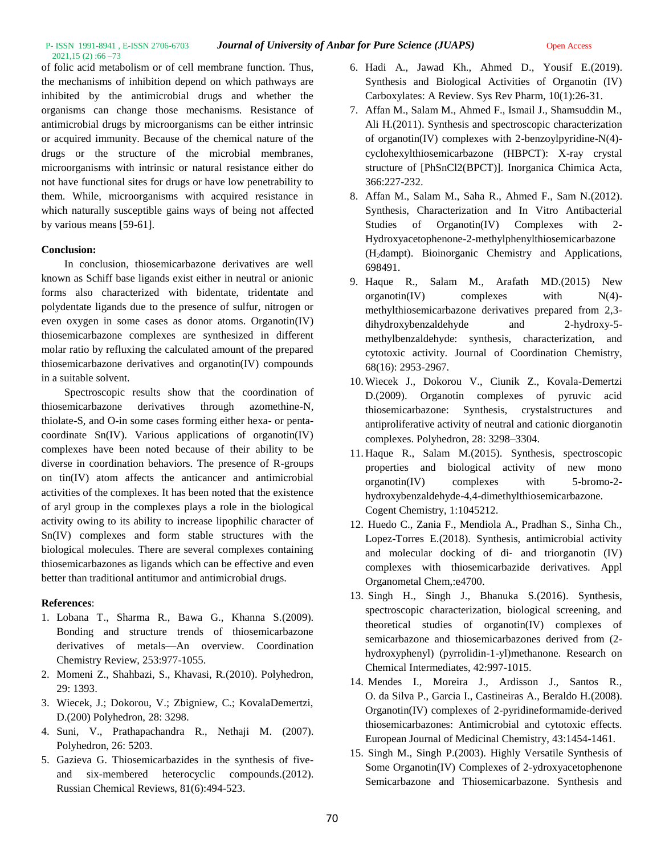## 2021,15 (2) :66 –73

of folic acid metabolism or of cell membrane function. Thus, the mechanisms of inhibition depend on which pathways are inhibited by the antimicrobial drugs and whether the organisms can change those mechanisms. Resistance of antimicrobial drugs by microorganisms can be either intrinsic or acquired immunity. Because of the chemical nature of the drugs or the structure of the microbial membranes, microorganisms with intrinsic or natural resistance either do not have functional sites for drugs or have low penetrability to them. While, microorganisms with acquired resistance in which naturally susceptible gains ways of being not affected by various means [59-61].

#### **Conclusion:**

In conclusion, thiosemicarbazone derivatives are well known as Schiff base ligands exist either in neutral or anionic forms also characterized with bidentate, tridentate and polydentate ligands due to the presence of sulfur, nitrogen or even oxygen in some cases as donor atoms. Organotin(IV) thiosemicarbazone complexes are synthesized in different molar ratio by refluxing the calculated amount of the prepared thiosemicarbazone derivatives and organotin(IV) compounds in a suitable solvent.

Spectroscopic results show that the coordination of thiosemicarbazone derivatives through azomethine-N, thiolate-S, and O-in some cases forming either hexa- or pentacoordinate Sn(IV). Various applications of organotin(IV) complexes have been noted because of their ability to be diverse in coordination behaviors. The presence of R-groups on tin(IV) atom affects the anticancer and antimicrobial activities of the complexes. It has been noted that the existence of aryl group in the complexes plays a role in the biological activity owing to its ability to increase lipophilic character of Sn(IV) complexes and form stable structures with the biological molecules. There are several complexes containing thiosemicarbazones as ligands which can be effective and even better than traditional antitumor and antimicrobial drugs.

#### **References**:

- 1. Lobana T., Sharma R., Bawa G., Khanna S.(2009). Bonding and structure trends of thiosemicarbazone derivatives of metals—An overview. Coordination Chemistry Review, 253:977-1055.
- 2. Momeni Z., Shahbazi, S., Khavasi, R.(2010). Polyhedron, 29: 1393.
- 3. Wiecek, J.; Dokorou, V.; Zbigniew, C.; KovalaDemertzi, D.(200) Polyhedron, 28: 3298.
- 4. Suni, V., Prathapachandra R., Nethaji M. (2007). Polyhedron, 26: 5203.
- 5. Gazieva G. Thiosemicarbazides in the synthesis of fiveand six-membered heterocyclic compounds.(2012). Russian Chemical Reviews, 81(6):494-523.
- 6. Hadi A., Jawad Kh., Ahmed D., Yousif E.(2019). Synthesis and Biological Activities of Organotin (IV) Carboxylates: A Review. Sys Rev Pharm, 10(1):26-31.
- 7. Affan M., Salam M., Ahmed F., Ismail J., Shamsuddin M., Ali H.(2011). Synthesis and spectroscopic characterization of organotin(IV) complexes with 2-benzoylpyridine-N(4) cyclohexylthiosemicarbazone (HBPCT): X-ray crystal structure of [PhSnCl2(BPCT)]. Inorganica Chimica Acta, 366:227-232.
- 8. Affan M., Salam M., Saha R., Ahmed F., Sam N.(2012). Synthesis, Characterization and In Vitro Antibacterial Studies of Organotin(IV) Complexes with 2- Hydroxyacetophenone-2-methylphenylthiosemicarbazone (H2dampt). Bioinorganic Chemistry and Applications, 698491.
- 9. Haque R., Salam M., Arafath MD.(2015) New  $organotin(IV)$  complexes with  $N(4)$ methylthiosemicarbazone derivatives prepared from 2,3 dihydroxybenzaldehyde and 2-hydroxy-5 methylbenzaldehyde: synthesis, characterization, and cytotoxic activity. Journal of Coordination Chemistry, 68(16): 2953-2967.
- 10. Wiecek J., Dokorou V., Ciunik Z., Kovala-Demertzi D.(2009). Organotin complexes of pyruvic acid thiosemicarbazone: Synthesis, crystalstructures and antiproliferative activity of neutral and cationic diorganotin complexes. Polyhedron, 28: 3298–3304.
- 11. Haque R., Salam M.(2015). Synthesis, spectroscopic properties and biological activity of new mono organotin(IV) complexes with 5-bromo-2 hydroxybenzaldehyde-4,4-dimethylthiosemicarbazone. Cogent Chemistry, 1:1045212.
- 12. Huedo C., Zania F., Mendiola A., Pradhan S., Sinha Ch., Lopez-Torres E.(2018). Synthesis, antimicrobial activity and molecular docking of di‐ and triorganotin (IV) complexes with thiosemicarbazide derivatives. Appl Organometal Chem,:e4700.
- 13. Singh H., Singh J., Bhanuka S.(2016). Synthesis, spectroscopic characterization, biological screening, and theoretical studies of organotin(IV) complexes of semicarbazone and thiosemicarbazones derived from (2 hydroxyphenyl) (pyrrolidin-1-yl)methanone. Research on Chemical Intermediates, 42:997-1015.
- 14. Mendes I., Moreira J., Ardisson J., Santos R., O. da Silva P., Garcia I., Castineiras A., Beraldo H.(2008). Organotin(IV) complexes of 2-pyridineformamide-derived thiosemicarbazones: Antimicrobial and cytotoxic effects. European Journal of Medicinal Chemistry, 43:1454-1461.
- 15. Singh M., Singh P.(2003). Highly Versatile Synthesis of Some Organotin(IV) Complexes of 2-ydroxyacetophenone Semicarbazone and Thiosemicarbazone. Synthesis and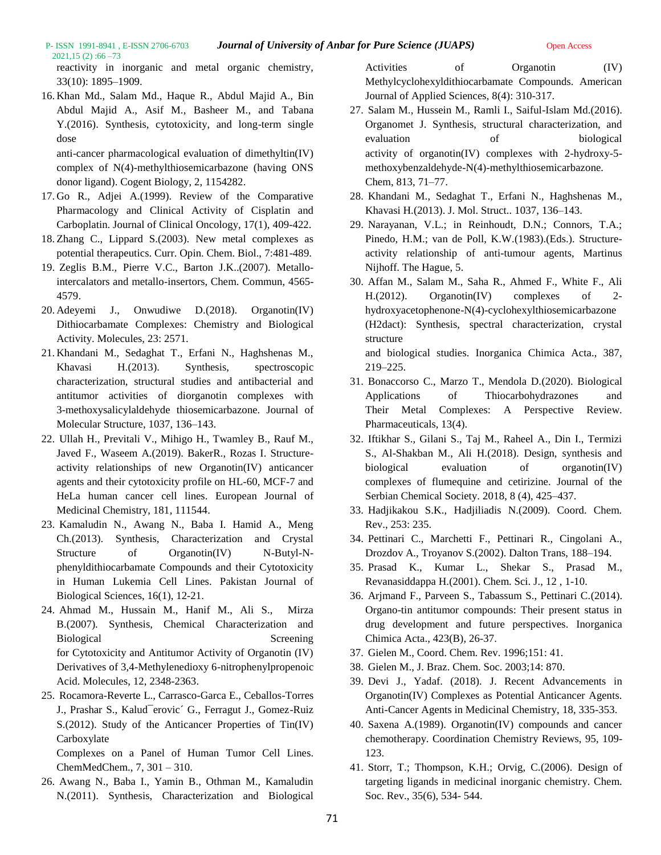reactivity in inorganic and metal organic chemistry, 33(10): 1895–1909.

16. Khan Md., Salam Md., Haque R., Abdul Majid A., Bin Abdul Majid A., Asif M., Basheer M., and Tabana Y.(2016). Synthesis, cytotoxicity, and long-term single dose

anti-cancer pharmacological evaluation of dimethyltin(IV) complex of N(4)-methylthiosemicarbazone (having ONS donor ligand). Cogent Biology, 2, 1154282.

- 17. Go R., Adjei A.(1999). Review of the Comparative Pharmacology and Clinical Activity of Cisplatin and Carboplatin. Journal of Clinical Oncology, 17(1), 409-422.
- 18. Zhang C., Lippard S.(2003). New metal complexes as potential therapeutics. Curr. Opin. Chem. Biol., 7:481-489.
- 19. Zeglis B.M., Pierre V.C., Barton J.K..(2007). Metallointercalators and metallo-insertors, Chem. Commun, 4565- 4579.
- 20. Adeyemi J., Onwudiwe D.(2018). Organotin(IV) Dithiocarbamate Complexes: Chemistry and Biological Activity. Molecules, 23: 2571.
- 21. Khandani M., Sedaghat T., Erfani N., Haghshenas M., Khavasi H.(2013). Synthesis, spectroscopic characterization, structural studies and antibacterial and antitumor activities of diorganotin complexes with 3-methoxysalicylaldehyde thiosemicarbazone. Journal of Molecular Structure, 1037, 136–143.
- 22. Ullah H., Previtali V., Mihigo H., Twamley B., Rauf M., Javed F., Waseem A.(2019). BakerR., Rozas I. Structureactivity relationships of new Organotin(IV) anticancer agents and their cytotoxicity profile on HL-60, MCF-7 and HeLa human cancer cell lines. European Journal of Medicinal Chemistry, 181, 111544.
- 23. Kamaludin N., Awang N., Baba I. Hamid A., Meng Ch.(2013). Synthesis, Characterization and Crystal Structure of Organotin(IV) N-Butyl-Nphenyldithiocarbamate Compounds and their Cytotoxicity in Human Lukemia Cell Lines. Pakistan Journal of Biological Sciences, 16(1), 12-21.
- 24. Ahmad M., Hussain M., Hanif M., Ali S., Mirza B.(2007). Synthesis, Chemical Characterization and Biological Screening for Cytotoxicity and Antitumor Activity of Organotin (IV) Derivatives of 3,4-Methylenedioxy 6-nitrophenylpropenoic Acid. Molecules, 12, 2348-2363.
- 25. Rocamora-Reverte L., Carrasco-Garca E., Ceballos-Torres J., Prashar S., Kalud¯erovic´ G., Ferragut J., Gomez-Ruiz S.(2012). Study of the Anticancer Properties of Tin(IV) Carboxylate

Complexes on a Panel of Human Tumor Cell Lines. ChemMedChem., 7, 301 – 310.

26. Awang N., Baba I., Yamin B., Othman M., Kamaludin N.(2011). Synthesis, Characterization and Biological Activities of Organotin (IV) Methylcyclohexyldithiocarbamate Compounds. American Journal of Applied Sciences, 8(4): 310-317.

- 27. Salam M., Hussein M., Ramli I., Saiful-Islam Md.(2016). Organomet J. Synthesis, structural characterization, and evaluation of biological activity of organotin(IV) complexes with 2-hydroxy-5 methoxybenzaldehyde-N(4)-methylthiosemicarbazone. Chem, 813, 71–77.
- 28. Khandani M., Sedaghat T., Erfani N., Haghshenas M., Khavasi H.(2013). J. Mol. Struct.. 1037, 136–143.
- 29. Narayanan, V.L.; in Reinhoudt, D.N.; Connors, T.A.; Pinedo, H.M.; van de Poll, K.W.(1983).(Eds.). Structureactivity relationship of anti-tumour agents, Martinus Nijhoff. The Hague, 5.
- 30. Affan M., Salam M., Saha R., Ahmed F., White F., Ali H.(2012). Organotin(IV) complexes of 2 hydroxyacetophenone-N(4)-cyclohexylthiosemicarbazone (H2dact): Synthesis, spectral characterization, crystal structure and biological studies. Inorganica Chimica Acta., 387, 219–225.
- 31. Bonaccorso C., Marzo T., Mendola D.(2020). Biological Applications of Thiocarbohydrazones and Their Metal Complexes: A Perspective Review. Pharmaceuticals, 13(4).
- 32. Iftikhar S., Gilani S., Taj M., Raheel A., Din I., Termizi S., Al-Shakban M., Ali H.(2018). Design, synthesis and biological evaluation of organotin(IV) complexes of flumequine and cetirizine. Journal of the Serbian Chemical Society. 2018, 8 (4), 425–437.
- 33. Hadjikakou S.K., Hadjiliadis N.(2009). Coord. Chem. Rev., 253: 235.
- 34. Pettinari C., Marchetti F., Pettinari R., Cingolani A., Drozdov A., Troyanov S.(2002). Dalton Trans, 188–194.
- 35. Prasad K., Kumar L., Shekar S., Prasad M., Revanasiddappa H.(2001). Chem. Sci. J., 12 , 1-10.
- 36. Arjmand F., Parveen S., Tabassum S., Pettinari C.(2014). Organo-tin antitumor compounds: Their present status in drug development and future perspectives. Inorganica Chimica Acta., 423(B), 26-37.
- 37. Gielen M., Coord. Chem. Rev. 1996;151: 41.
- 38. Gielen M., J. Braz. Chem. Soc. 2003;14: 870.
- 39. Devi J., Yadaf. (2018). J. Recent Advancements in Organotin(IV) Complexes as Potential Anticancer Agents. Anti-Cancer Agents in Medicinal Chemistry, 18, 335-353.
- 40. Saxena A.(1989). Organotin(IV) compounds and cancer chemotherapy. Coordination Chemistry Reviews, 95, 109- 123.
- 41. Storr, T.; Thompson, K.H.; Orvig, C.(2006). Design of targeting ligands in medicinal inorganic chemistry. Chem. Soc. Rev., 35(6), 534- 544.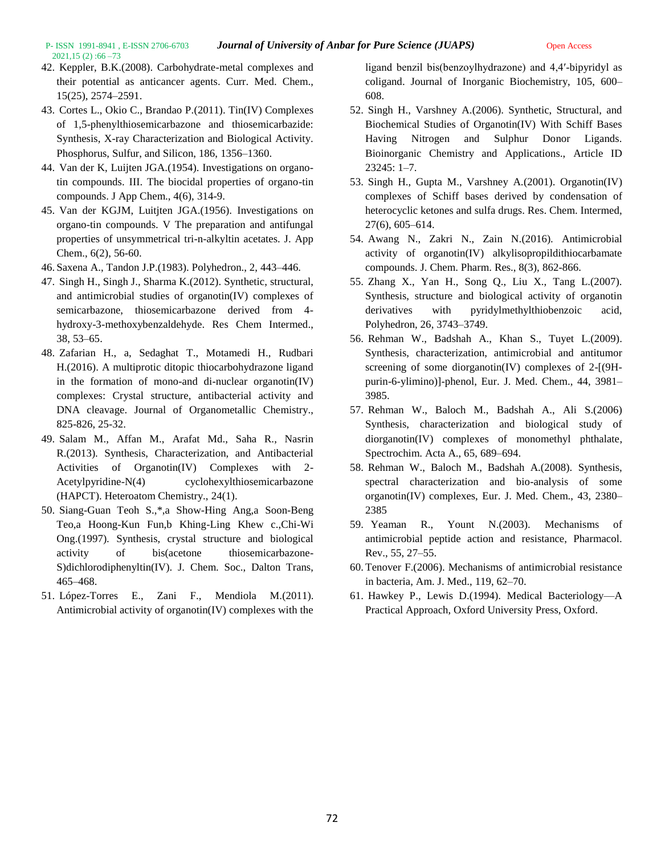- 2021,15 (2) :66 –73 42. Keppler, B.K.(2008). Carbohydrate-metal complexes and their potential as anticancer agents. Curr. Med. Chem., 15(25), 2574–2591.
- 43. Cortes L., Okio C., Brandao P.(2011). Tin(IV) Complexes of 1,5-phenylthiosemicarbazone and thiosemicarbazide: Synthesis, X-ray Characterization and Biological Activity. Phosphorus, Sulfur, and Silicon, 186, 1356–1360.
- 44. Van der K, Luijten JGA.(1954). Investigations on organotin compounds. III. The biocidal properties of organo-tin compounds. J App Chem., 4(6), 314-9.
- 45. Van der KGJM, Luitjten JGA.(1956). Investigations on organo-tin compounds. V The preparation and antifungal properties of unsymmetrical tri-n-alkyltin acetates. J. App Chem., 6(2), 56-60.
- 46. Saxena A., Tandon J.P.(1983). Polyhedron., 2, 443–446.
- 47. Singh H., Singh J., Sharma K.(2012). Synthetic, structural, and antimicrobial studies of organotin(IV) complexes of semicarbazone, thiosemicarbazone derived from 4 hydroxy-3-methoxybenzaldehyde. Res Chem Intermed., 38, 53–65.
- 48. Zafarian H., a, Sedaghat T., Motamedi H., Rudbari H.(2016). A multiprotic ditopic thiocarbohydrazone ligand in the formation of mono-and di-nuclear organotin(IV) complexes: Crystal structure, antibacterial activity and DNA cleavage. Journal of Organometallic Chemistry., 825-826, 25-32.
- 49. Salam M., Affan M., Arafat Md., Saha R., Nasrin R.(2013). Synthesis, Characterization, and Antibacterial Activities of Organotin(IV) Complexes with 2- Acetylpyridine-N(4) cyclohexylthiosemicarbazone (HAPCT). Heteroatom Chemistry., 24(1).
- 50. Siang-Guan Teoh S.,\*,a Show-Hing Ang,a Soon-Beng Teo,a Hoong-Kun Fun,b Khing-Ling Khew c.,Chi-Wi Ong.(1997). Synthesis, crystal structure and biological activity of bis(acetone thiosemicarbazone-S)dichlorodiphenyltin(IV). J. Chem. Soc., Dalton Trans, 465–468.
- 51. López-Torres E., Zani F., Mendiola M.(2011). Antimicrobial activity of organotin(IV) complexes with the

ligand benzil bis(benzoylhydrazone) and 4,4′-bipyridyl as coligand. Journal of Inorganic Biochemistry, 105, 600– 608.

- 52. Singh H., Varshney A.(2006). Synthetic, Structural, and Biochemical Studies of Organotin(IV) With Schiff Bases Having Nitrogen and Sulphur Donor Ligands. Bioinorganic Chemistry and Applications., Article ID 23245: 1–7.
- 53. Singh H., Gupta M., Varshney A.(2001). Organotin(IV) complexes of Schiff bases derived by condensation of heterocyclic ketones and sulfa drugs. Res. Chem. Intermed, 27(6), 605–614.
- 54. Awang N., Zakri N., Zain N.(2016). Antimicrobial activity of organotin(IV) alkylisopropildithiocarbamate compounds. J. Chem. Pharm. Res., 8(3), 862-866.
- 55. Zhang X., Yan H., Song Q., Liu X., Tang L.(2007). Synthesis, structure and biological activity of organotin derivatives with pyridylmethylthiobenzoic acid, Polyhedron, 26, 3743–3749.
- 56. Rehman W., Badshah A., Khan S., Tuyet L.(2009). Synthesis, characterization, antimicrobial and antitumor screening of some diorganotin(IV) complexes of 2-[(9Hpurin-6-ylimino)]-phenol, Eur. J. Med. Chem., 44, 3981– 3985.
- 57. Rehman W., Baloch M., Badshah A., Ali S.(2006) Synthesis, characterization and biological study of diorganotin(IV) complexes of monomethyl phthalate, Spectrochim. Acta A., 65, 689–694.
- 58. Rehman W., Baloch M., Badshah A.(2008). Synthesis, spectral characterization and bio-analysis of some organotin(IV) complexes, Eur. J. Med. Chem., 43, 2380– 2385
- 59. Yeaman R., Yount N.(2003). Mechanisms of antimicrobial peptide action and resistance, Pharmacol. Rev., 55, 27–55.
- 60. Tenover F.(2006). Mechanisms of antimicrobial resistance in bacteria, Am. J. Med., 119, 62–70.
- 61. Hawkey P., Lewis D.(1994). Medical Bacteriology—A Practical Approach, Oxford University Press, Oxford.